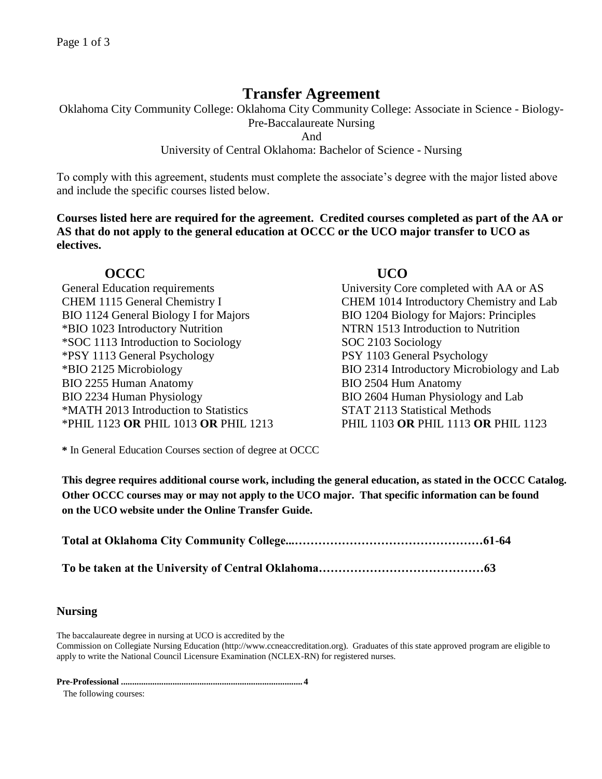# **Transfer Agreement**

Oklahoma City Community College: Oklahoma City Community College: Associate in Science - Biology-

Pre-Baccalaureate Nursing

And

University of Central Oklahoma: Bachelor of Science - Nursing

To comply with this agreement, students must complete the associate's degree with the major listed above and include the specific courses listed below.

**Courses listed here are required for the agreement. Credited courses completed as part of the AA or AS that do not apply to the general education at OCCC or the UCO major transfer to UCO as electives.**

# **OCCC UCO**

General Education requirements University Core completed with AA or AS BIO 1124 General Biology I for Majors BIO 1204 Biology for Majors: Principles \*BIO 1023 Introductory Nutrition NTRN 1513 Introduction to Nutrition \*SOC 1113 Introduction to Sociology SOC 2103 Sociology \*PSY 1113 General Psychology PSY 1103 General Psychology BIO 2255 Human Anatomy BIO 2504 Hum Anatomy BIO 2234 Human Physiology BIO 2604 Human Physiology and Lab \*MATH 2013 Introduction to Statistics STAT 2113 Statistical Methods \*PHIL 1123 **OR** PHIL 1013 **OR** PHIL 1213 PHIL 1103 **OR** PHIL 1113 **OR** PHIL 1123

CHEM 1115 General Chemistry I CHEM 1014 Introductory Chemistry and Lab \*BIO 2125 Microbiology BIO 2314 Introductory Microbiology and Lab

**\*** In General Education Courses section of degree at OCCC

**This degree requires additional course work, including the general education, as stated in the OCCC Catalog. Other OCCC courses may or may not apply to the UCO major. That specific information can be found on the UCO website under the Online Transfer Guide.**

**Total at Oklahoma City Community College...…………………………………………61-64**

**To be taken at the University of Central Oklahoma……………………………………63**

## **Nursing**

The baccalaureate degree in nursing at UCO is accredited by the

Commission on Collegiate Nursing Education (http://www.ccneaccreditation.org). Graduates of this state approved program are eligible to apply to write the National Council Licensure Examination (NCLEX-RN) for registered nurses.

**Pre-Professional ................................................................................. 4**

The following courses: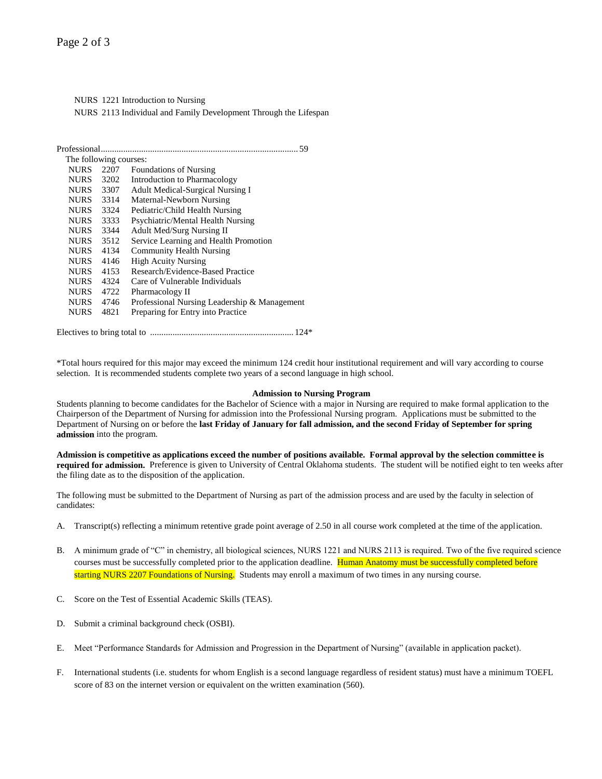NURS 1221 Introduction to Nursing NURS 2113 Individual and Family Development Through the Lifespan

| Professional.          |      |                                              |
|------------------------|------|----------------------------------------------|
| The following courses: |      |                                              |
| <b>NURS</b>            | 2207 | <b>Foundations of Nursing</b>                |
| NURS -                 | 3202 | Introduction to Pharmacology                 |
| <b>NURS</b>            | 3307 | <b>Adult Medical-Surgical Nursing I</b>      |
| <b>NURS</b>            | 3314 | Maternal-Newborn Nursing                     |
| <b>NURS</b>            | 3324 | Pediatric/Child Health Nursing               |
| NURS -                 | 3333 | Psychiatric/Mental Health Nursing            |
| NURS                   | 3344 | <b>Adult Med/Surg Nursing II</b>             |
| <b>NURS</b>            | 3512 | Service Learning and Health Promotion        |
| NURS -                 | 4134 | <b>Community Health Nursing</b>              |
| NURS -                 | 4146 | <b>High Acuity Nursing</b>                   |
| <b>NURS</b>            | 4153 | Research/Evidence-Based Practice             |
| <b>NURS</b>            | 4324 | Care of Vulnerable Individuals               |
| <b>NURS</b>            | 4722 | Pharmacology II                              |
| NURS                   | 4746 | Professional Nursing Leadership & Management |
| <b>NURS</b>            | 4821 | Preparing for Entry into Practice            |
|                        |      |                                              |

Electives to bring total to ................................................................ 124\*

\*Total hours required for this major may exceed the minimum 124 credit hour institutional requirement and will vary according to course selection. It is recommended students complete two years of a second language in high school.

#### **Admission to Nursing Program**

Students planning to become candidates for the Bachelor of Science with a major in Nursing are required to make formal application to the Chairperson of the Department of Nursing for admission into the Professional Nursing program. Applications must be submitted to the Department of Nursing on or before the **last Friday of January for fall admission, and the second Friday of September for spring admission** into the program.

**Admission is competitive as applications exceed the number of positions available. Formal approval by the selection committee is required for admission.** Preference is given to University of Central Oklahoma students. The student will be notified eight to ten weeks after the filing date as to the disposition of the application.

The following must be submitted to the Department of Nursing as part of the admission process and are used by the faculty in selection of candidates:

- A. Transcript(s) reflecting a minimum retentive grade point average of 2.50 in all course work completed at the time of the application.
- B. A minimum grade of "C" in chemistry, all biological sciences, NURS 1221 and NURS 2113 is required. Two of the five required science courses must be successfully completed prior to the application deadline. Human Anatomy must be successfully completed before starting NURS 2207 Foundations of Nursing. Students may enroll a maximum of two times in any nursing course.
- C. Score on the Test of Essential Academic Skills (TEAS).
- D. Submit a criminal background check (OSBI).
- E. Meet "Performance Standards for Admission and Progression in the Department of Nursing" (available in application packet).
- F. International students (i.e. students for whom English is a second language regardless of resident status) must have a minimum TOEFL score of 83 on the internet version or equivalent on the written examination (560).